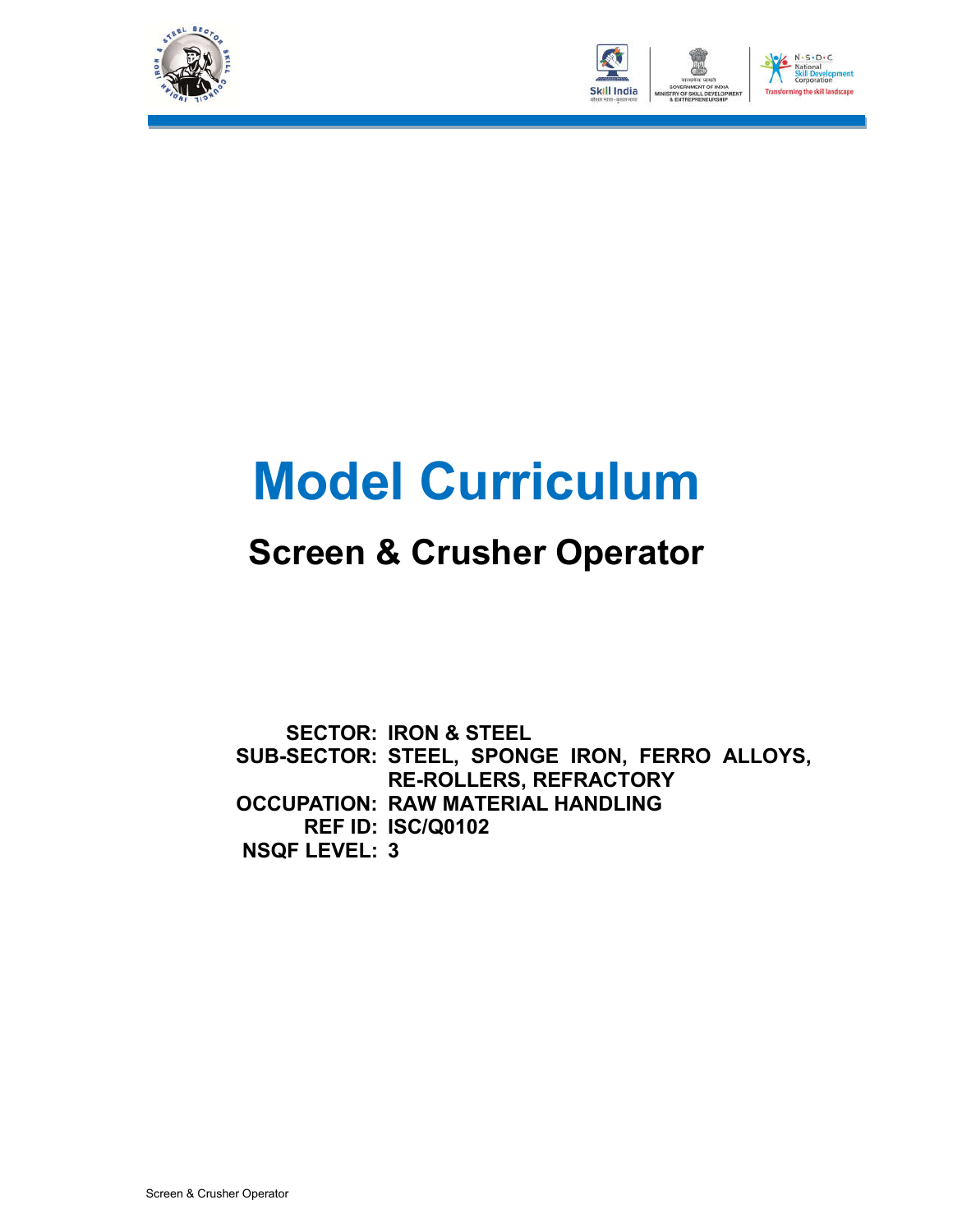



# **Model Curriculum**

### **Screen & Crusher Operator**

**SECTOR: IRON & STEEL SUB-SECTOR: STEEL, SPONGE IRON, FERRO ALLOYS, OCCUPATION: RAW MATERIAL HANDLING REF ID: ISC/Q0102 NSQF LEVEL: 3RE-ROLLERS, REFRACTORY**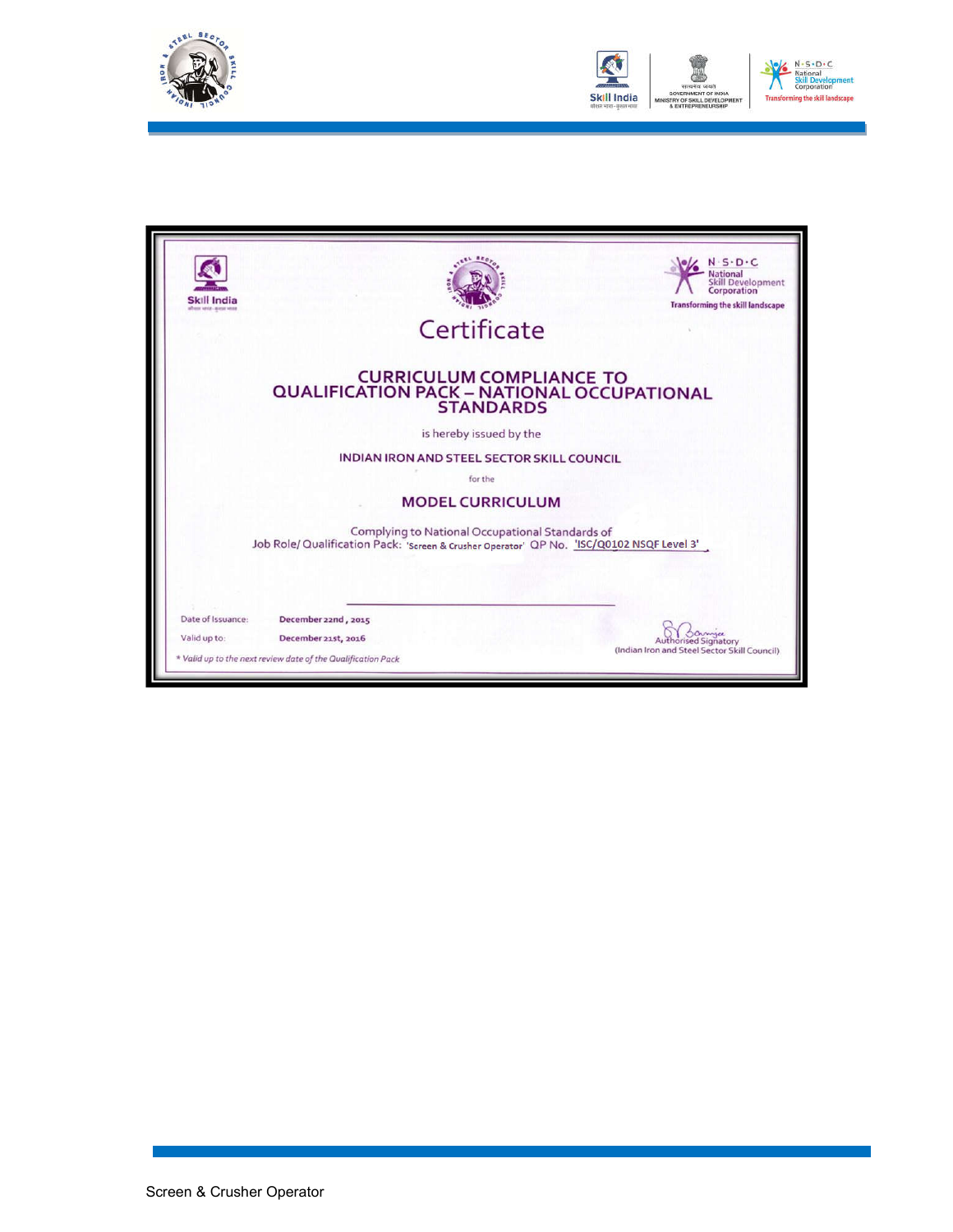



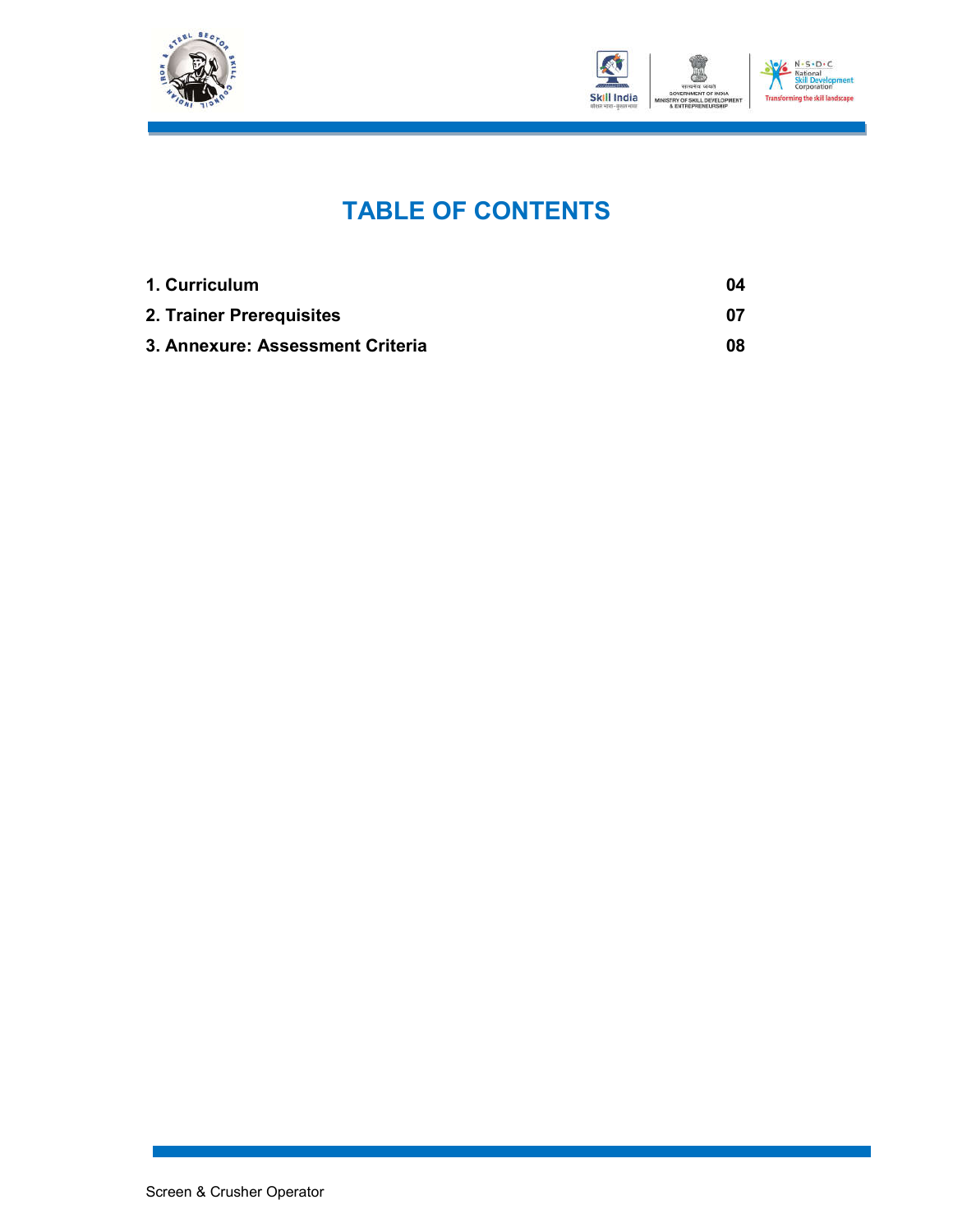



### **TABLE OF CONTENTS**

| 1. Curriculum                    | 04 |
|----------------------------------|----|
| 2. Trainer Prerequisites         | 07 |
| 3. Annexure: Assessment Criteria | 08 |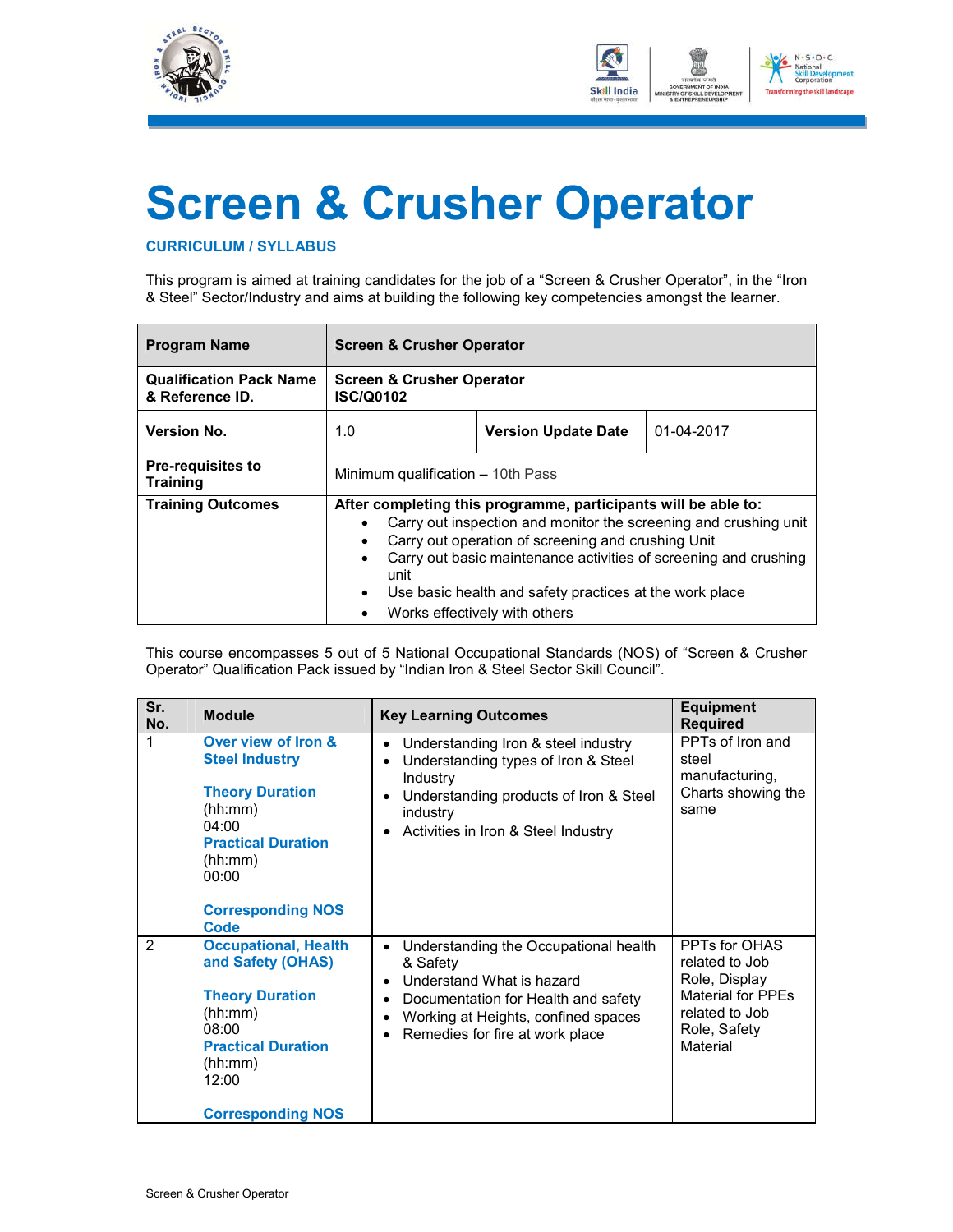



## **Screen & Crusher Operator**

#### **CURRICULUM / SYLLABUS**

This program is aimed at training candidates for the job of a "Screen & Crusher Operator", in the "Iron & Steel" Sector/Industry and aims at building the following key competencies amongst the learner.

| <b>Program Name</b>                               | <b>Screen &amp; Crusher Operator</b>                                                                                                                                                                                                                                                                                                                                                            |                                      |            |  |  |
|---------------------------------------------------|-------------------------------------------------------------------------------------------------------------------------------------------------------------------------------------------------------------------------------------------------------------------------------------------------------------------------------------------------------------------------------------------------|--------------------------------------|------------|--|--|
| <b>Qualification Pack Name</b><br>& Reference ID. | <b>ISC/Q0102</b>                                                                                                                                                                                                                                                                                                                                                                                | <b>Screen &amp; Crusher Operator</b> |            |  |  |
| <b>Version No.</b>                                | 1.0                                                                                                                                                                                                                                                                                                                                                                                             | <b>Version Update Date</b>           | 01-04-2017 |  |  |
| <b>Pre-requisites to</b><br><b>Training</b>       | Minimum qualification – 10th Pass                                                                                                                                                                                                                                                                                                                                                               |                                      |            |  |  |
| <b>Training Outcomes</b>                          | After completing this programme, participants will be able to:<br>Carry out inspection and monitor the screening and crushing unit<br>Carry out operation of screening and crushing Unit<br>Carry out basic maintenance activities of screening and crushing<br>$\bullet$<br>unit<br>Use basic health and safety practices at the work place<br>$\bullet$<br>Works effectively with others<br>٠ |                                      |            |  |  |

This course encompasses 5 out of 5 National Occupational Standards (NOS) of "Screen & Crusher Operator" Qualification Pack issued by "Indian Iron & Steel Sector Skill Council".

| Sr.<br>No.    | <b>Module</b>                                                                                                                                                                   | <b>Key Learning Outcomes</b>                                                                                                                                                                                                                        | <b>Equipment</b><br><b>Required</b>                                                                                 |
|---------------|---------------------------------------------------------------------------------------------------------------------------------------------------------------------------------|-----------------------------------------------------------------------------------------------------------------------------------------------------------------------------------------------------------------------------------------------------|---------------------------------------------------------------------------------------------------------------------|
|               | Over view of Iron &<br><b>Steel Industry</b><br><b>Theory Duration</b><br>(hh:mm)<br>04:00<br><b>Practical Duration</b><br>(hh:mm)<br>00:00<br><b>Corresponding NOS</b><br>Code | Understanding Iron & steel industry<br>$\bullet$<br>Understanding types of Iron & Steel<br>$\bullet$<br>Industry<br>Understanding products of Iron & Steel<br>$\bullet$<br>industry<br>Activities in Iron & Steel Industry<br>$\bullet$             | PPTs of Iron and<br>steel<br>manufacturing,<br>Charts showing the<br>same                                           |
| $\mathcal{P}$ | <b>Occupational, Health</b><br>and Safety (OHAS)<br><b>Theory Duration</b><br>(hh:mm)<br>08:00<br><b>Practical Duration</b><br>(hh:mm)<br>12:00<br><b>Corresponding NOS</b>     | Understanding the Occupational health<br>$\bullet$<br>& Safety<br>Understand What is hazard<br>$\bullet$<br>Documentation for Health and safety<br>$\bullet$<br>Working at Heights, confined spaces<br>$\bullet$<br>Remedies for fire at work place | PPTs for OHAS<br>related to Job<br>Role, Display<br>Material for PPEs<br>related to Job<br>Role, Safety<br>Material |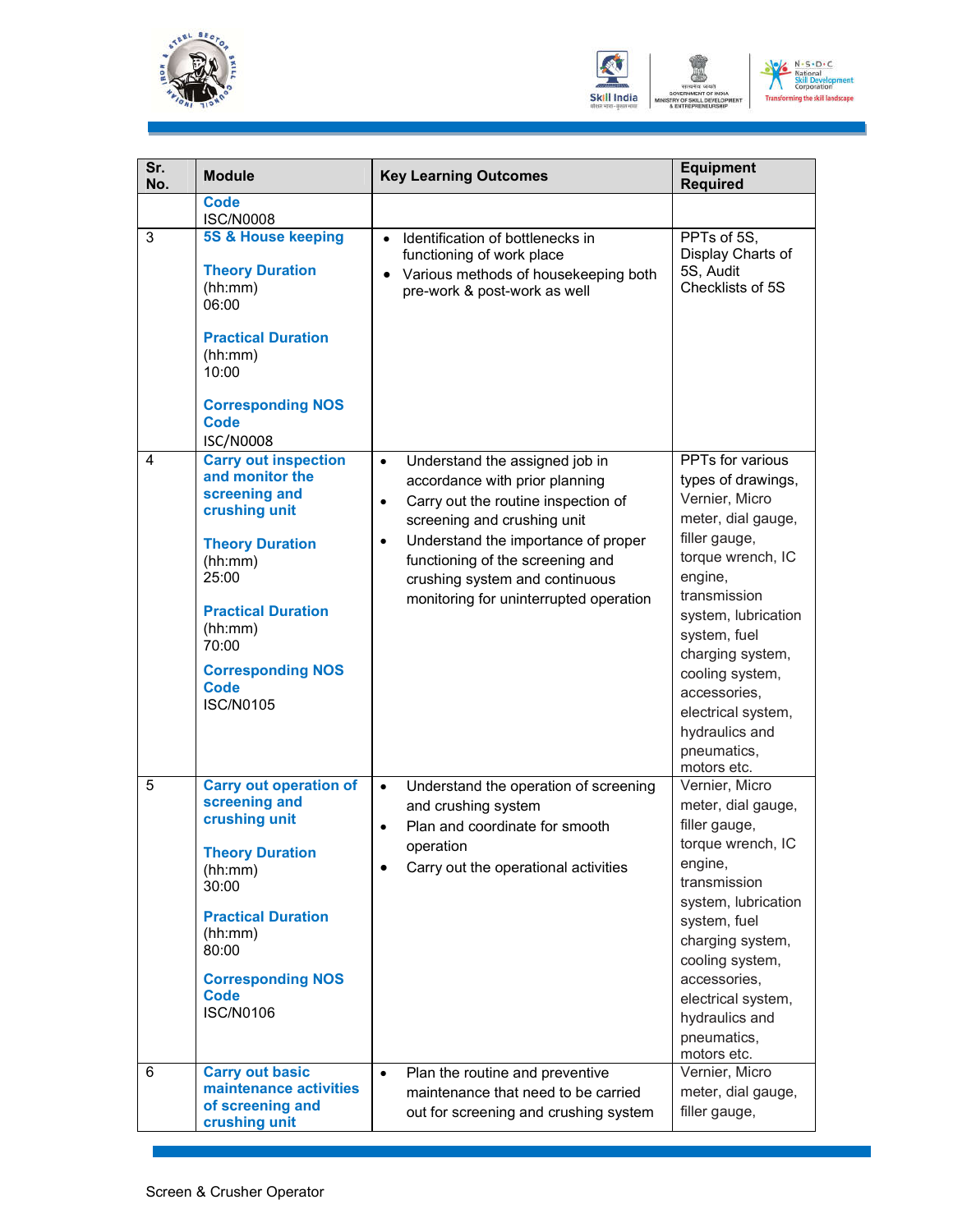



| Sr.<br>No. | <b>Module</b>                                                                                                                                                                                                                                  | <b>Key Learning Outcomes</b>                                                                                                                                                                                                                                                                                                         | <b>Equipment</b><br><b>Required</b>                                                                                                                                                                                                                                                                                 |
|------------|------------------------------------------------------------------------------------------------------------------------------------------------------------------------------------------------------------------------------------------------|--------------------------------------------------------------------------------------------------------------------------------------------------------------------------------------------------------------------------------------------------------------------------------------------------------------------------------------|---------------------------------------------------------------------------------------------------------------------------------------------------------------------------------------------------------------------------------------------------------------------------------------------------------------------|
|            | <b>Code</b><br><b>ISC/N0008</b>                                                                                                                                                                                                                |                                                                                                                                                                                                                                                                                                                                      |                                                                                                                                                                                                                                                                                                                     |
| 3          | <b>5S &amp; House keeping</b><br><b>Theory Duration</b><br>(hh:mm)<br>06:00<br><b>Practical Duration</b><br>(hh:mm)<br>10:00<br><b>Corresponding NOS</b><br><b>Code</b><br><b>ISC/N0008</b>                                                    | Identification of bottlenecks in<br>$\bullet$<br>functioning of work place<br>• Various methods of housekeeping both<br>pre-work & post-work as well                                                                                                                                                                                 | PPTs of 5S,<br>Display Charts of<br>5S, Audit<br>Checklists of 5S                                                                                                                                                                                                                                                   |
| 4          | <b>Carry out inspection</b><br>and monitor the<br>screening and<br>crushing unit<br><b>Theory Duration</b><br>(hh:mm)<br>25:00<br><b>Practical Duration</b><br>(hh:mm)<br>70:00<br><b>Corresponding NOS</b><br><b>Code</b><br><b>ISC/N0105</b> | Understand the assigned job in<br>$\bullet$<br>accordance with prior planning<br>Carry out the routine inspection of<br>$\bullet$<br>screening and crushing unit<br>Understand the importance of proper<br>$\bullet$<br>functioning of the screening and<br>crushing system and continuous<br>monitoring for uninterrupted operation | PPTs for various<br>types of drawings,<br>Vernier, Micro<br>meter, dial gauge,<br>filler gauge,<br>torque wrench, IC<br>engine,<br>transmission<br>system, lubrication<br>system, fuel<br>charging system,<br>cooling system,<br>accessories,<br>electrical system,<br>hydraulics and<br>pneumatics,<br>motors etc. |
| 5          | <b>Carry out operation of</b><br>screening and<br>crushing unit<br><b>Theory Duration</b><br>(hh:mm)<br>30:00<br><b>Practical Duration</b><br>(hh:mm)<br>80:00<br><b>Corresponding NOS</b><br><b>Code</b><br><b>ISC/N0106</b>                  | Understand the operation of screening<br>$\bullet$<br>and crushing system<br>Plan and coordinate for smooth<br>$\bullet$<br>operation<br>Carry out the operational activities                                                                                                                                                        | Vernier, Micro<br>meter, dial gauge,<br>filler gauge,<br>torque wrench, IC<br>engine,<br>transmission<br>system, lubrication<br>system, fuel<br>charging system,<br>cooling system,<br>accessories,<br>electrical system,<br>hydraulics and<br>pneumatics,<br>motors etc.                                           |
| 6          | <b>Carry out basic</b><br>maintenance activities<br>of screening and<br>crushing unit                                                                                                                                                          | Plan the routine and preventive<br>$\bullet$<br>maintenance that need to be carried<br>out for screening and crushing system                                                                                                                                                                                                         | Vernier, Micro<br>meter, dial gauge,<br>filler gauge,                                                                                                                                                                                                                                                               |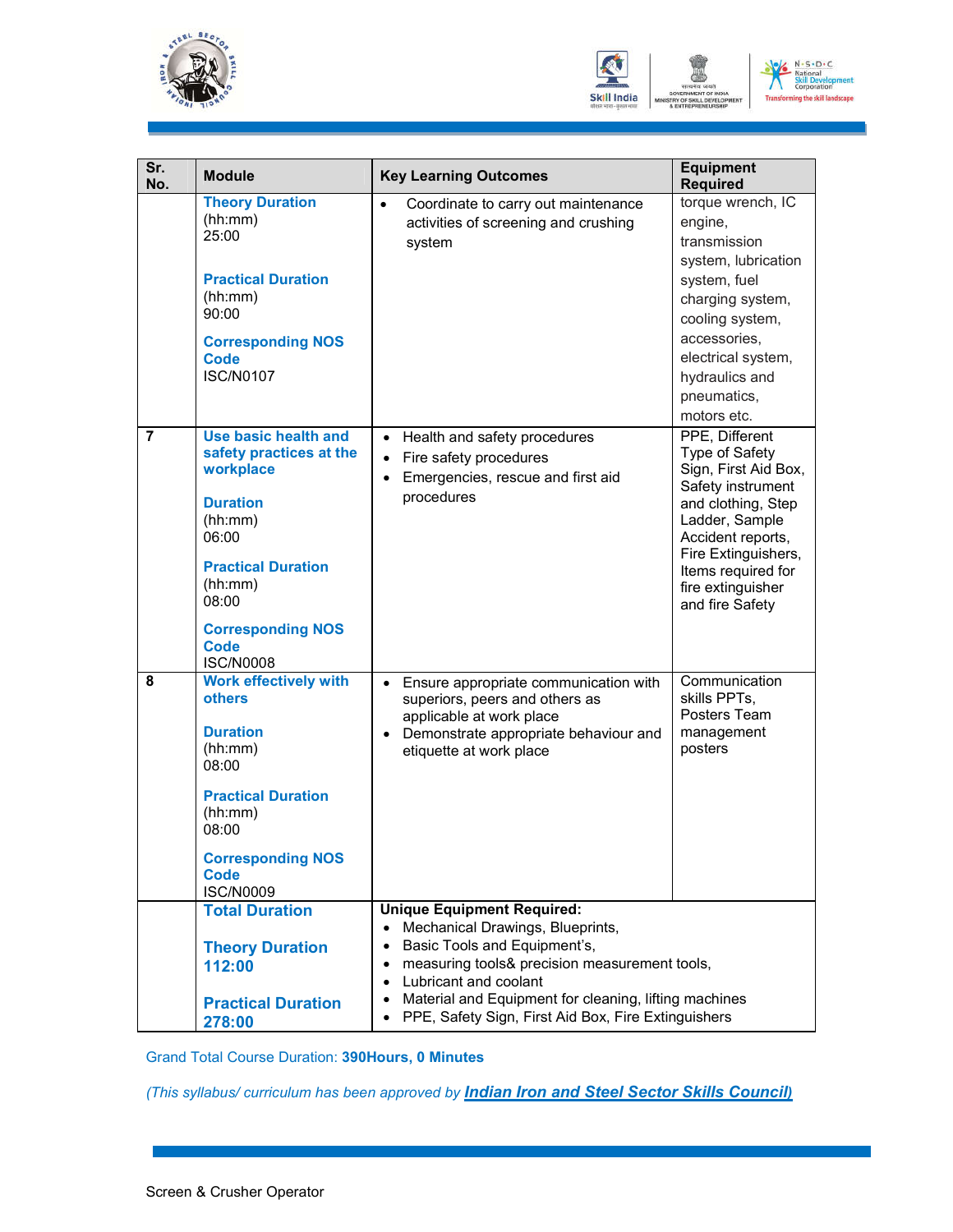



| Sr.<br>No.     | <b>Module</b>                                                                                                                                                                                                              | <b>Key Learning Outcomes</b>                                                                                                                                                                                                                                                                                                                                                  | <b>Equipment</b><br><b>Required</b>                                                                                                                                                                                             |
|----------------|----------------------------------------------------------------------------------------------------------------------------------------------------------------------------------------------------------------------------|-------------------------------------------------------------------------------------------------------------------------------------------------------------------------------------------------------------------------------------------------------------------------------------------------------------------------------------------------------------------------------|---------------------------------------------------------------------------------------------------------------------------------------------------------------------------------------------------------------------------------|
|                | <b>Theory Duration</b><br>(hh:mm)<br>25:00<br><b>Practical Duration</b><br>(hh:mm)<br>90:00<br><b>Corresponding NOS</b><br><b>Code</b><br><b>ISC/N0107</b>                                                                 | Coordinate to carry out maintenance<br>$\bullet$<br>activities of screening and crushing<br>system                                                                                                                                                                                                                                                                            | torque wrench, IC<br>engine,<br>transmission<br>system, lubrication<br>system, fuel<br>charging system,<br>cooling system,<br>accessories,<br>electrical system,<br>hydraulics and<br>pneumatics,<br>motors etc.                |
| $\overline{7}$ | <b>Use basic health and</b><br>safety practices at the<br>workplace<br><b>Duration</b><br>(hh:mm)<br>06:00<br><b>Practical Duration</b><br>(hh:mm)<br>08:00<br><b>Corresponding NOS</b><br><b>Code</b><br><b>ISC/N0008</b> | Health and safety procedures<br>$\bullet$<br>Fire safety procedures<br>$\bullet$<br>Emergencies, rescue and first aid<br>$\bullet$<br>procedures                                                                                                                                                                                                                              | PPE, Different<br>Type of Safety<br>Sign, First Aid Box,<br>Safety instrument<br>and clothing, Step<br>Ladder, Sample<br>Accident reports,<br>Fire Extinguishers,<br>Items required for<br>fire extinguisher<br>and fire Safety |
| 8              | <b>Work effectively with</b><br><b>others</b><br><b>Duration</b><br>(hh:mm)<br>08:00<br><b>Practical Duration</b><br>(hh:mm)<br>08:00<br><b>Corresponding NOS</b><br><b>Code</b><br><b>ISC/N0009</b>                       | Ensure appropriate communication with<br>$\bullet$<br>superiors, peers and others as<br>applicable at work place<br>Demonstrate appropriate behaviour and<br>$\bullet$<br>etiquette at work place                                                                                                                                                                             | Communication<br>skills PPTs,<br>Posters Team<br>management<br>posters                                                                                                                                                          |
|                | <b>Total Duration</b><br><b>Theory Duration</b><br>112:00<br><b>Practical Duration</b><br>278:00                                                                                                                           | <b>Unique Equipment Required:</b><br>Mechanical Drawings, Blueprints,<br>$\bullet$<br>Basic Tools and Equipment's,<br>$\bullet$<br>measuring tools& precision measurement tools,<br>$\bullet$<br>Lubricant and coolant<br>$\bullet$<br>Material and Equipment for cleaning, lifting machines<br>$\bullet$<br>PPE, Safety Sign, First Aid Box, Fire Extinguishers<br>$\bullet$ |                                                                                                                                                                                                                                 |

Grand Total Course Duration: **390Hours, 0 Minutes**

*(This syllabus/ curriculum has been approved by Indian Iron and Steel Sector Skills Council)*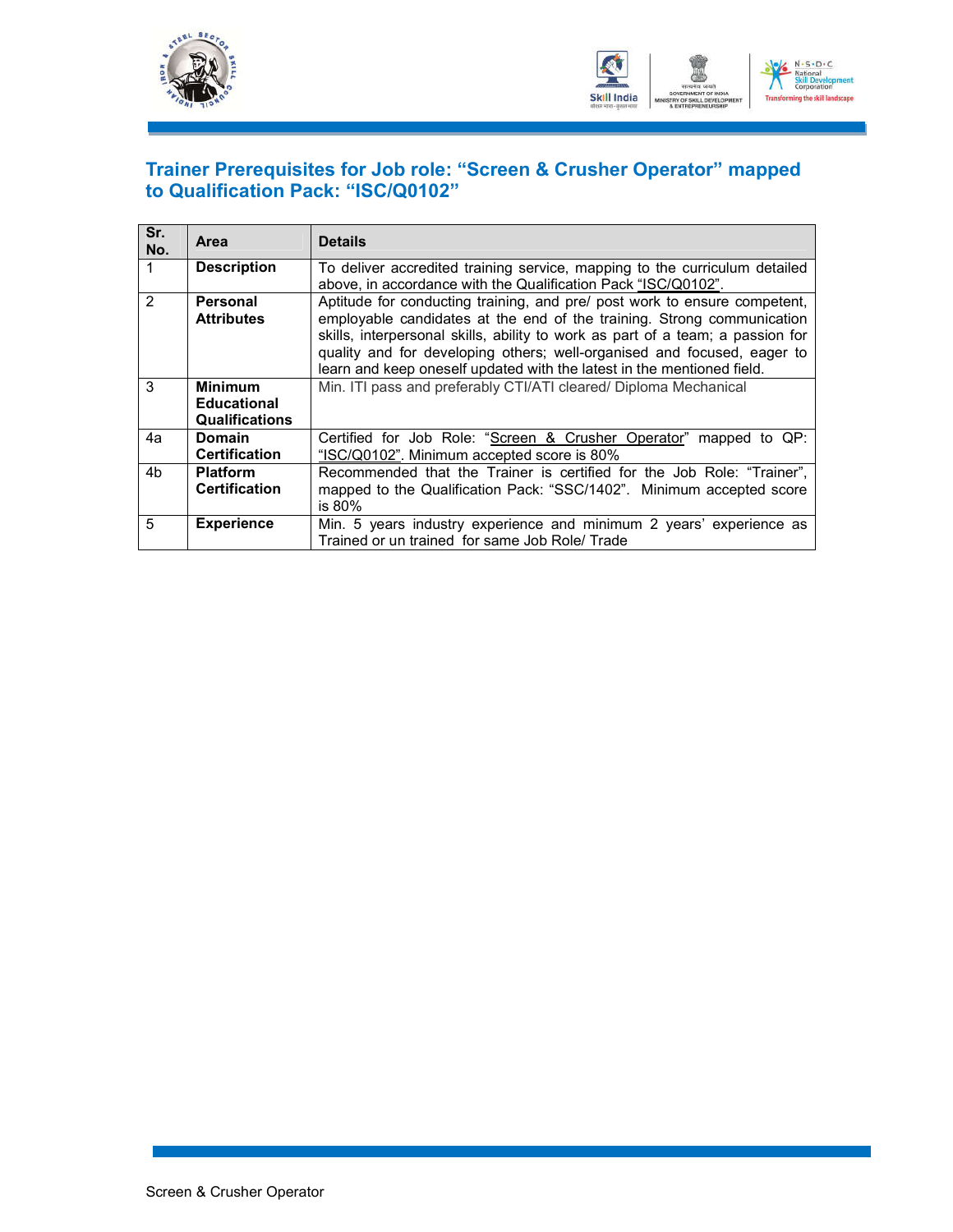



### **Trainer Prerequisites for Job role: "Screen & Crusher Operator" mapped to Qualification Pack: "ISC/Q0102"**

| Sr.<br>No.     | <b>Area</b>                                            | <b>Details</b>                                                                                                                                                                                                                                                                                                                                                                             |
|----------------|--------------------------------------------------------|--------------------------------------------------------------------------------------------------------------------------------------------------------------------------------------------------------------------------------------------------------------------------------------------------------------------------------------------------------------------------------------------|
|                | <b>Description</b>                                     | To deliver accredited training service, mapping to the curriculum detailed<br>above, in accordance with the Qualification Pack "ISC/Q0102".                                                                                                                                                                                                                                                |
| $\mathfrak{p}$ | Personal<br><b>Attributes</b>                          | Aptitude for conducting training, and pre/ post work to ensure competent.<br>employable candidates at the end of the training. Strong communication<br>skills, interpersonal skills, ability to work as part of a team; a passion for<br>quality and for developing others; well-organised and focused, eager to<br>learn and keep oneself updated with the latest in the mentioned field. |
| 3              | <b>Minimum</b><br><b>Educational</b><br>Qualifications | Min. ITI pass and preferably CTI/ATI cleared/ Diploma Mechanical                                                                                                                                                                                                                                                                                                                           |
| 4a             | Domain<br>Certification                                | Certified for Job Role: "Screen & Crusher Operator" mapped to QP:<br>"ISC/Q0102". Minimum accepted score is 80%                                                                                                                                                                                                                                                                            |
| 4b             | <b>Platform</b><br>Certification                       | Recommended that the Trainer is certified for the Job Role: "Trainer",<br>mapped to the Qualification Pack: "SSC/1402". Minimum accepted score<br>is 80%                                                                                                                                                                                                                                   |
| 5              | <b>Experience</b>                                      | Min. 5 years industry experience and minimum 2 years' experience as<br>Trained or un trained for same Job Role/Trade                                                                                                                                                                                                                                                                       |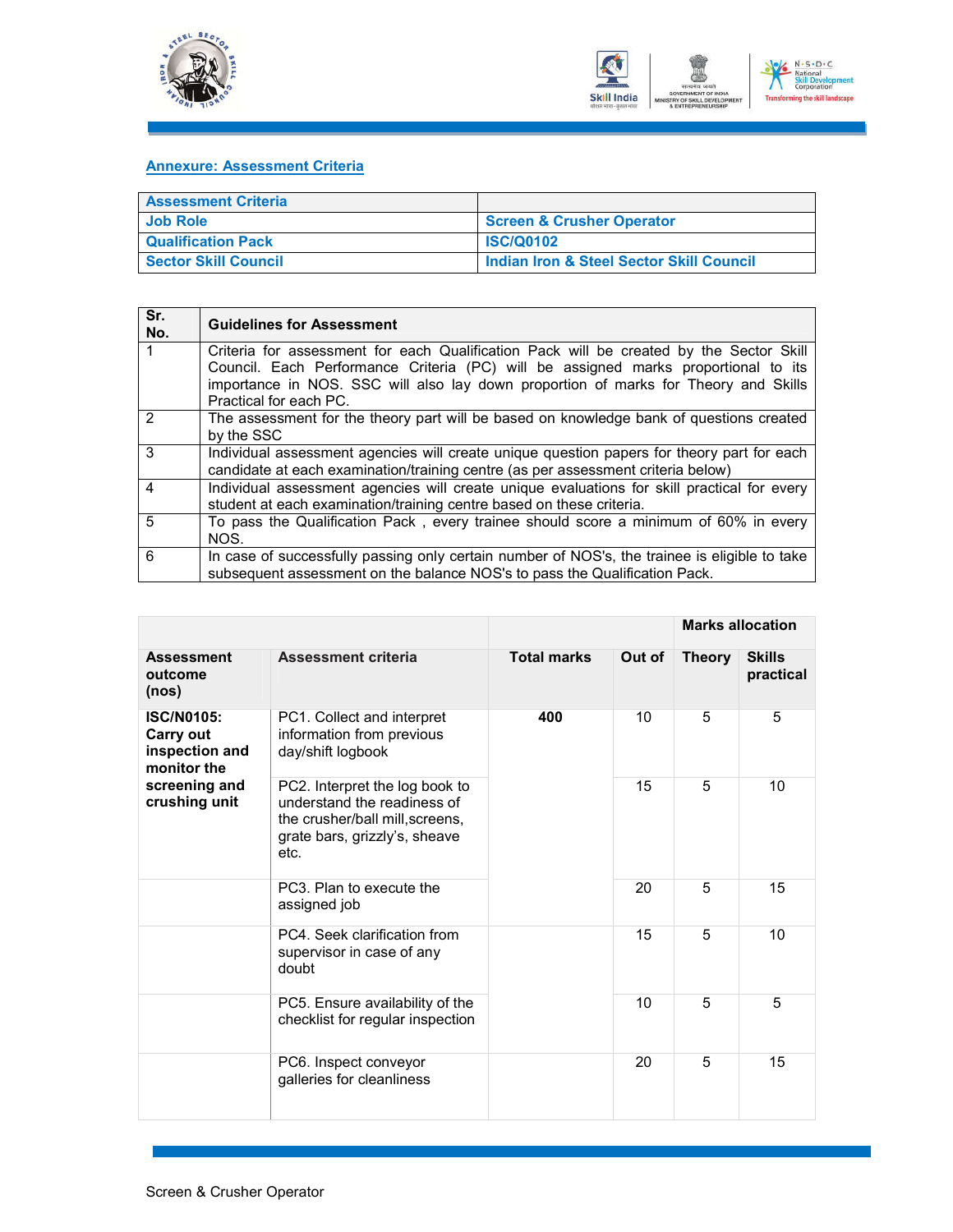



#### **Annexure: Assessment Criteria**

| <b>Assessment Criteria</b>  |                                                     |
|-----------------------------|-----------------------------------------------------|
| <b>Job Role</b>             | Screen & Crusher Operator                           |
| <b>Qualification Pack</b>   | <b>ISC/Q0102</b>                                    |
| <b>Sector Skill Council</b> | <b>Indian Iron &amp; Steel Sector Skill Council</b> |

| Sr.<br>No.     | <b>Guidelines for Assessment</b>                                                                                                                                                                                                                                                               |
|----------------|------------------------------------------------------------------------------------------------------------------------------------------------------------------------------------------------------------------------------------------------------------------------------------------------|
|                | Criteria for assessment for each Qualification Pack will be created by the Sector Skill<br>Council. Each Performance Criteria (PC) will be assigned marks proportional to its<br>importance in NOS. SSC will also lay down proportion of marks for Theory and Skills<br>Practical for each PC. |
| $\mathcal{P}$  | The assessment for the theory part will be based on knowledge bank of questions created<br>by the SSC                                                                                                                                                                                          |
| 3              | Individual assessment agencies will create unique question papers for theory part for each<br>candidate at each examination/training centre (as per assessment criteria below)                                                                                                                 |
| 4              | Individual assessment agencies will create unique evaluations for skill practical for every<br>student at each examination/training centre based on these criteria.                                                                                                                            |
| $\overline{5}$ | To pass the Qualification Pack, every trainee should score a minimum of 60% in every<br>NOS.                                                                                                                                                                                                   |
| 6              | In case of successfully passing only certain number of NOS's, the trainee is eligible to take<br>subsequent assessment on the balance NOS's to pass the Qualification Pack.                                                                                                                    |

|                                                                                                   |                                                                                                                                           |                    |        |               | <b>Marks allocation</b>    |  |
|---------------------------------------------------------------------------------------------------|-------------------------------------------------------------------------------------------------------------------------------------------|--------------------|--------|---------------|----------------------------|--|
| <b>Assessment</b><br>outcome<br>(nos)                                                             | <b>Assessment criteria</b>                                                                                                                | <b>Total marks</b> | Out of | <b>Theory</b> | <b>Skills</b><br>practical |  |
| <b>ISC/N0105:</b><br>Carry out<br>inspection and<br>monitor the<br>screening and<br>crushing unit | PC1. Collect and interpret<br>information from previous<br>day/shift logbook                                                              | 400                | 10     | 5             | 5                          |  |
|                                                                                                   | PC2. Interpret the log book to<br>understand the readiness of<br>the crusher/ball mill, screens,<br>grate bars, grizzly's, sheave<br>etc. |                    | 15     | 5             | 10                         |  |
|                                                                                                   | PC3. Plan to execute the<br>assigned job                                                                                                  |                    | 20     | 5             | 15                         |  |
|                                                                                                   | PC4. Seek clarification from<br>supervisor in case of any<br>doubt                                                                        |                    | 15     | 5             | 10                         |  |
|                                                                                                   | PC5. Ensure availability of the<br>checklist for regular inspection                                                                       |                    | 10     | 5             | 5                          |  |
|                                                                                                   | PC6. Inspect conveyor<br>galleries for cleanliness                                                                                        |                    | 20     | 5             | 15                         |  |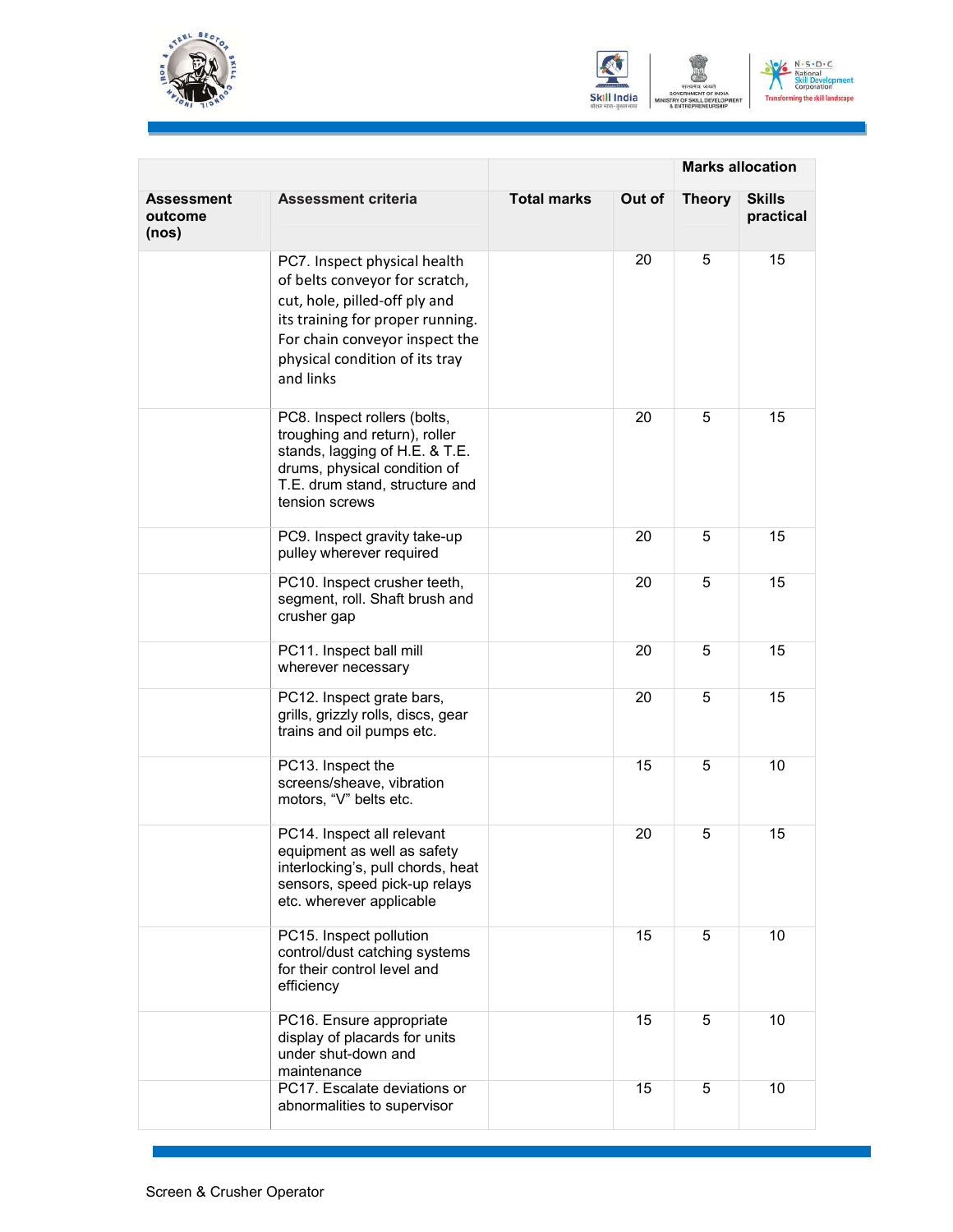





|                                |                                                                                                                                                                                                                      | <b>Marks allocation</b> |        |               |                            |
|--------------------------------|----------------------------------------------------------------------------------------------------------------------------------------------------------------------------------------------------------------------|-------------------------|--------|---------------|----------------------------|
| Assessment<br>outcome<br>(nos) | <b>Assessment criteria</b>                                                                                                                                                                                           | <b>Total marks</b>      | Out of | <b>Theory</b> | <b>Skills</b><br>practical |
|                                | PC7. Inspect physical health<br>of belts conveyor for scratch,<br>cut, hole, pilled-off ply and<br>its training for proper running.<br>For chain conveyor inspect the<br>physical condition of its tray<br>and links |                         | 20     | 5             | 15                         |
|                                | PC8. Inspect rollers (bolts,<br>troughing and return), roller<br>stands, lagging of H.E. & T.E.<br>drums, physical condition of<br>T.E. drum stand, structure and<br>tension screws                                  |                         | 20     | 5             | 15                         |
|                                | PC9. Inspect gravity take-up<br>pulley wherever required                                                                                                                                                             |                         | 20     | 5             | 15                         |
|                                | PC10. Inspect crusher teeth,<br>segment, roll. Shaft brush and<br>crusher gap                                                                                                                                        |                         | 20     | 5             | 15                         |
|                                | PC11. Inspect ball mill<br>wherever necessary                                                                                                                                                                        |                         | 20     | 5             | 15                         |
|                                | PC12. Inspect grate bars,<br>grills, grizzly rolls, discs, gear<br>trains and oil pumps etc.                                                                                                                         |                         | 20     | 5             | 15                         |
|                                | PC13. Inspect the<br>screens/sheave, vibration<br>motors, "V" belts etc.                                                                                                                                             |                         | 15     | 5             | 10                         |
|                                | PC14. Inspect all relevant<br>equipment as well as safety<br>interlocking's, pull chords, heat<br>sensors, speed pick-up relays<br>etc. wherever applicable                                                          |                         | 20     | 5             | 15                         |
|                                | PC15. Inspect pollution<br>control/dust catching systems<br>for their control level and<br>efficiency                                                                                                                |                         | 15     | 5             | 10                         |
|                                | PC16. Ensure appropriate<br>display of placards for units<br>under shut-down and<br>maintenance                                                                                                                      |                         | 15     | 5             | 10                         |
|                                | PC17. Escalate deviations or<br>abnormalities to supervisor                                                                                                                                                          |                         | 15     | 5             | 10                         |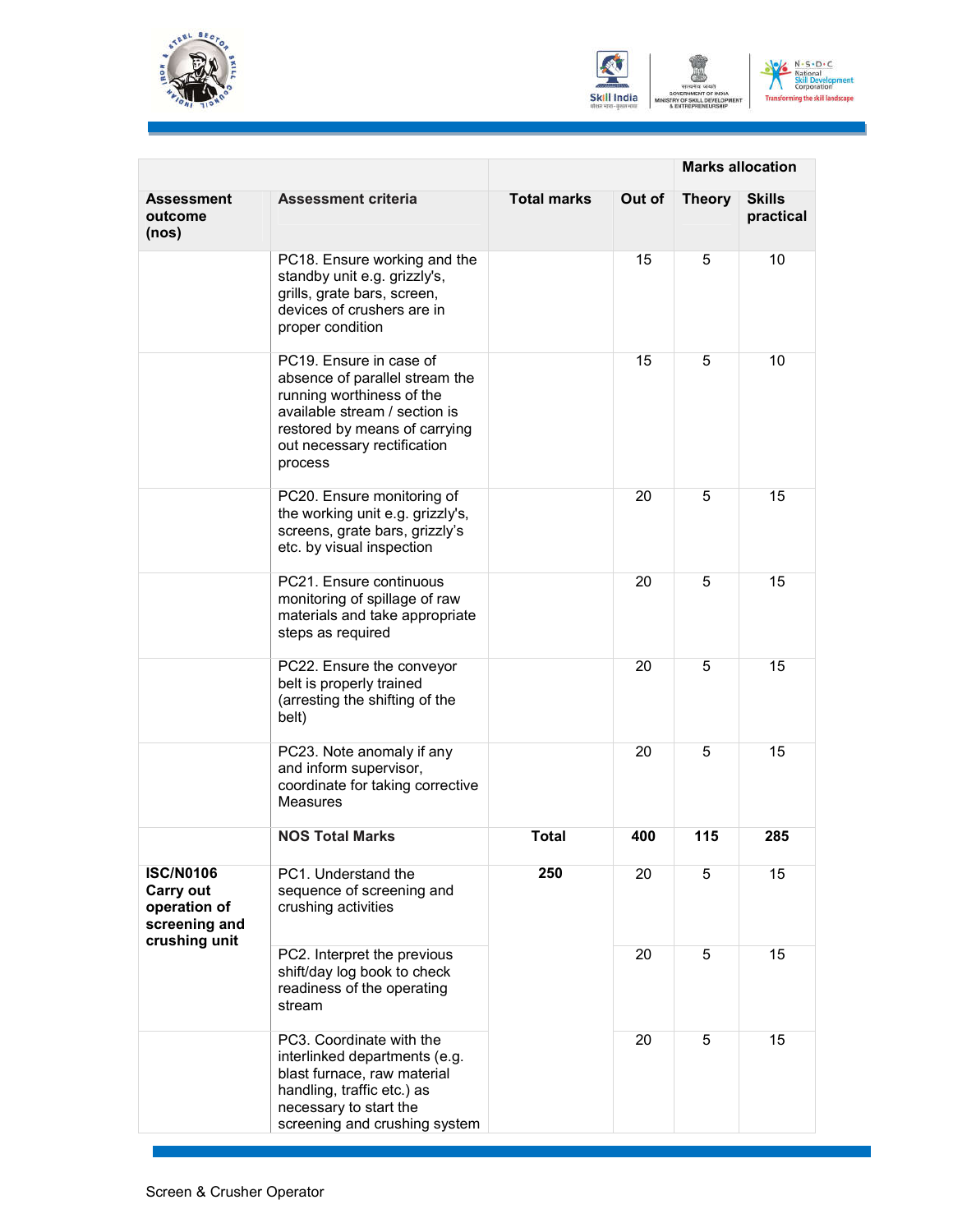





|                                                                                        |                                                                                                                                                                                                    | <b>Marks allocation</b> |        |               |                            |
|----------------------------------------------------------------------------------------|----------------------------------------------------------------------------------------------------------------------------------------------------------------------------------------------------|-------------------------|--------|---------------|----------------------------|
| Assessment<br>outcome<br>(nos)                                                         | <b>Assessment criteria</b>                                                                                                                                                                         | <b>Total marks</b>      | Out of | <b>Theory</b> | <b>Skills</b><br>practical |
|                                                                                        | PC18. Ensure working and the<br>standby unit e.g. grizzly's,<br>grills, grate bars, screen,<br>devices of crushers are in<br>proper condition                                                      |                         | 15     | 5             | 10                         |
|                                                                                        | PC19. Ensure in case of<br>absence of parallel stream the<br>running worthiness of the<br>available stream / section is<br>restored by means of carrying<br>out necessary rectification<br>process |                         | 15     | 5             | 10                         |
|                                                                                        | PC20. Ensure monitoring of<br>the working unit e.g. grizzly's,<br>screens, grate bars, grizzly's<br>etc. by visual inspection                                                                      |                         | 20     | 5             | 15                         |
|                                                                                        | PC21. Ensure continuous<br>monitoring of spillage of raw<br>materials and take appropriate<br>steps as required                                                                                    |                         | 20     | 5             | 15                         |
|                                                                                        | PC22. Ensure the conveyor<br>belt is properly trained<br>(arresting the shifting of the<br>belt)                                                                                                   |                         | 20     | 5             | 15                         |
|                                                                                        | PC23. Note anomaly if any<br>and inform supervisor,<br>coordinate for taking corrective<br><b>Measures</b>                                                                                         |                         | 20     | 5             | 15                         |
|                                                                                        | <b>NOS Total Marks</b>                                                                                                                                                                             | <b>Total</b>            | 400    | 115           | 285                        |
| <b>ISC/N0106</b><br><b>Carry out</b><br>operation of<br>screening and<br>crushing unit | PC1. Understand the<br>sequence of screening and<br>crushing activities                                                                                                                            | 250                     | 20     | 5             | 15                         |
|                                                                                        | PC2. Interpret the previous<br>shift/day log book to check<br>readiness of the operating<br>stream                                                                                                 |                         | 20     | 5             | 15                         |
|                                                                                        | PC3. Coordinate with the<br>interlinked departments (e.g.<br>blast furnace, raw material<br>handling, traffic etc.) as<br>necessary to start the<br>screening and crushing system                  |                         | 20     | 5             | 15                         |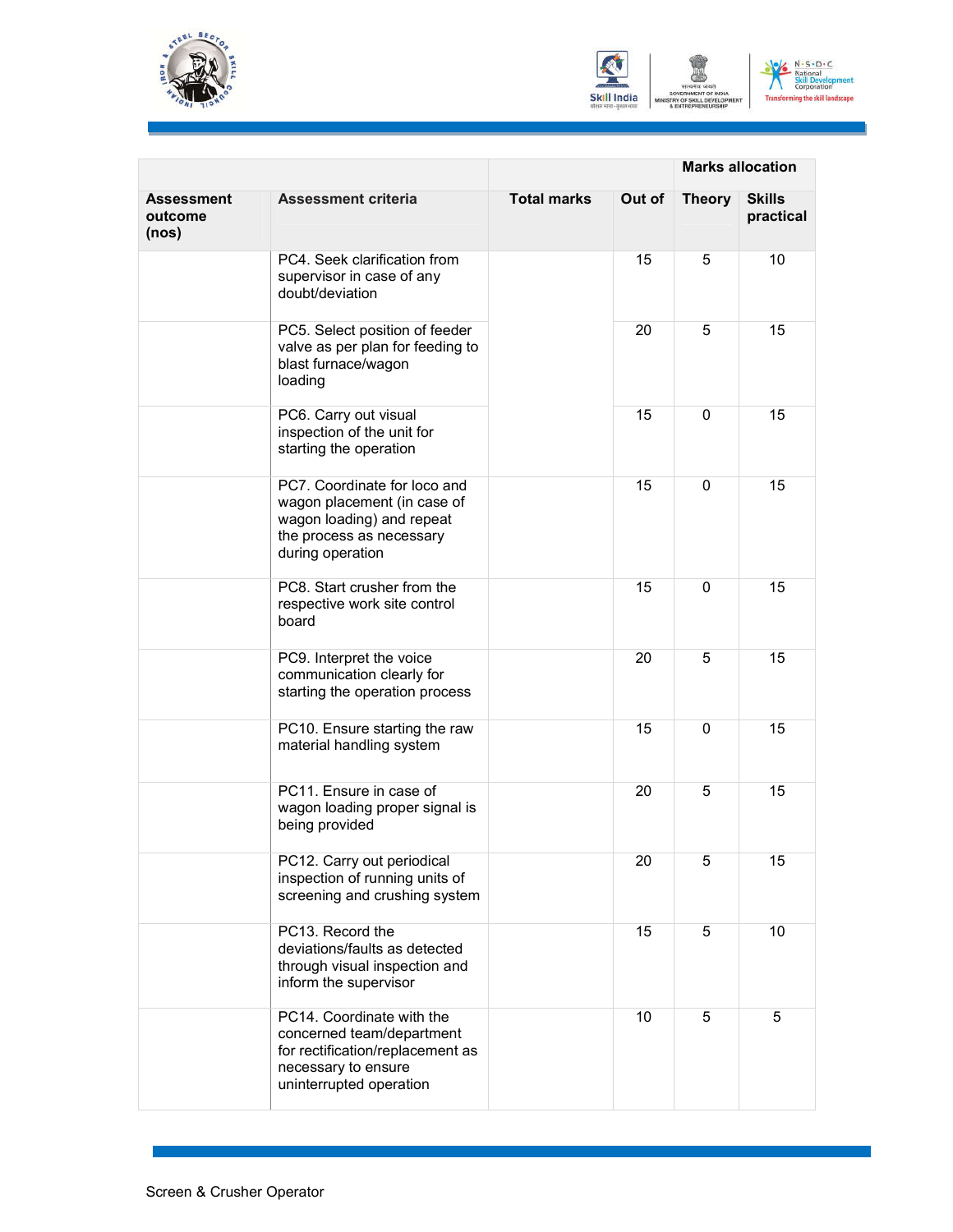





|                                       |                                                                                                                                              | <b>Marks allocation</b> |        |               |                            |
|---------------------------------------|----------------------------------------------------------------------------------------------------------------------------------------------|-------------------------|--------|---------------|----------------------------|
| <b>Assessment</b><br>outcome<br>(nos) | <b>Assessment criteria</b>                                                                                                                   | <b>Total marks</b>      | Out of | <b>Theory</b> | <b>Skills</b><br>practical |
|                                       | PC4. Seek clarification from<br>supervisor in case of any<br>doubt/deviation                                                                 |                         | 15     | 5             | 10                         |
|                                       | PC5. Select position of feeder<br>valve as per plan for feeding to<br>blast furnace/wagon<br>loading                                         |                         | 20     | 5             | 15                         |
|                                       | PC6. Carry out visual<br>inspection of the unit for<br>starting the operation                                                                |                         | 15     | 0             | 15                         |
|                                       | PC7. Coordinate for loco and<br>wagon placement (in case of<br>wagon loading) and repeat<br>the process as necessary<br>during operation     |                         | 15     | $\Omega$      | 15                         |
|                                       | PC8. Start crusher from the<br>respective work site control<br>board                                                                         |                         | 15     | $\mathbf{0}$  | 15                         |
|                                       | PC9. Interpret the voice<br>communication clearly for<br>starting the operation process                                                      |                         | 20     | 5             | 15                         |
|                                       | PC10. Ensure starting the raw<br>material handling system                                                                                    |                         | 15     | 0             | 15                         |
|                                       | PC11. Ensure in case of<br>wagon loading proper signal is<br>being provided                                                                  |                         | 20     | 5             | 15                         |
|                                       | PC12. Carry out periodical<br>inspection of running units of<br>screening and crushing system                                                |                         | 20     | 5             | 15                         |
|                                       | PC13. Record the<br>deviations/faults as detected<br>through visual inspection and<br>inform the supervisor                                  |                         | 15     | 5             | 10                         |
|                                       | PC14. Coordinate with the<br>concerned team/department<br>for rectification/replacement as<br>necessary to ensure<br>uninterrupted operation |                         | 10     | 5             | 5                          |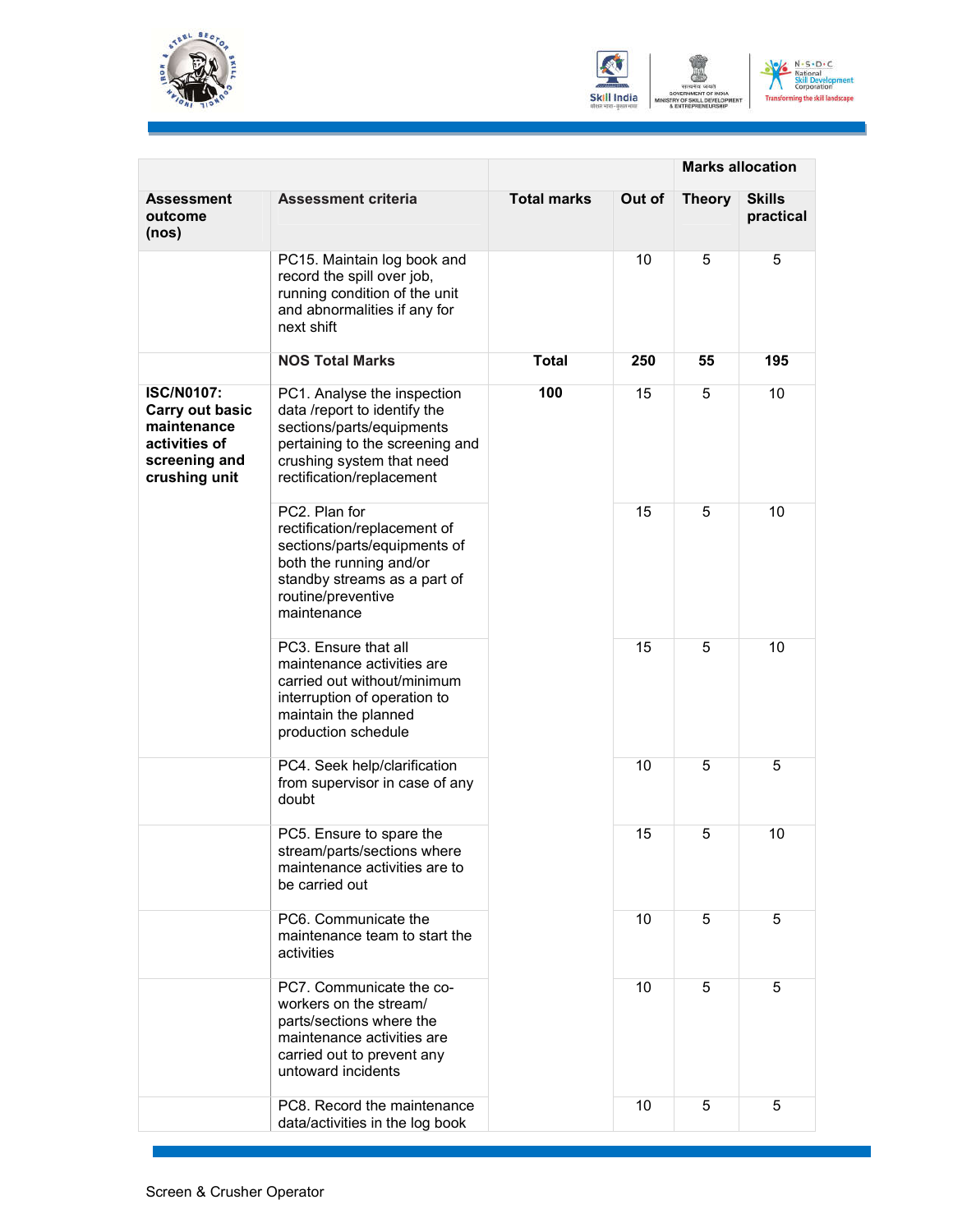





|                                                                                                                                                                                   |                                                                                                                                                                                       | <b>Marks allocation</b> |        |               |                            |
|-----------------------------------------------------------------------------------------------------------------------------------------------------------------------------------|---------------------------------------------------------------------------------------------------------------------------------------------------------------------------------------|-------------------------|--------|---------------|----------------------------|
| Assessment<br>outcome<br>(nos)                                                                                                                                                    | <b>Assessment criteria</b>                                                                                                                                                            | <b>Total marks</b>      | Out of | <b>Theory</b> | <b>Skills</b><br>practical |
|                                                                                                                                                                                   | PC15. Maintain log book and<br>record the spill over job,<br>running condition of the unit<br>and abnormalities if any for<br>next shift                                              |                         | 10     | 5             | 5                          |
|                                                                                                                                                                                   | <b>NOS Total Marks</b>                                                                                                                                                                | <b>Total</b>            | 250    | 55            | 195                        |
| <b>ISC/N0107:</b><br>Carry out basic<br>maintenance<br>activities of<br>screening and<br>crushing unit                                                                            | PC1. Analyse the inspection<br>data /report to identify the<br>sections/parts/equipments<br>pertaining to the screening and<br>crushing system that need<br>rectification/replacement | 100                     | 15     | 5             | 10                         |
|                                                                                                                                                                                   | PC2. Plan for<br>rectification/replacement of<br>sections/parts/equipments of<br>both the running and/or<br>standby streams as a part of<br>routine/preventive<br>maintenance         |                         | 15     | 5             | 10                         |
|                                                                                                                                                                                   | PC3. Ensure that all<br>maintenance activities are<br>carried out without/minimum<br>interruption of operation to<br>maintain the planned<br>production schedule                      |                         | 15     | 5             | 10                         |
|                                                                                                                                                                                   | PC4. Seek help/clarification<br>from supervisor in case of any<br>doubt                                                                                                               |                         | 10     | 5             | 5                          |
| PC5. Ensure to spare the<br>stream/parts/sections where<br>maintenance activities are to<br>be carried out<br>PC6. Communicate the<br>maintenance team to start the<br>activities |                                                                                                                                                                                       | 15                      | 5      | 10            |                            |
|                                                                                                                                                                                   |                                                                                                                                                                                       |                         | 10     | 5             | 5                          |
|                                                                                                                                                                                   | PC7. Communicate the co-<br>workers on the stream/<br>parts/sections where the<br>maintenance activities are<br>carried out to prevent any<br>untoward incidents                      |                         | 10     | 5             | 5                          |
|                                                                                                                                                                                   | PC8. Record the maintenance<br>data/activities in the log book                                                                                                                        |                         | 10     | 5             | 5                          |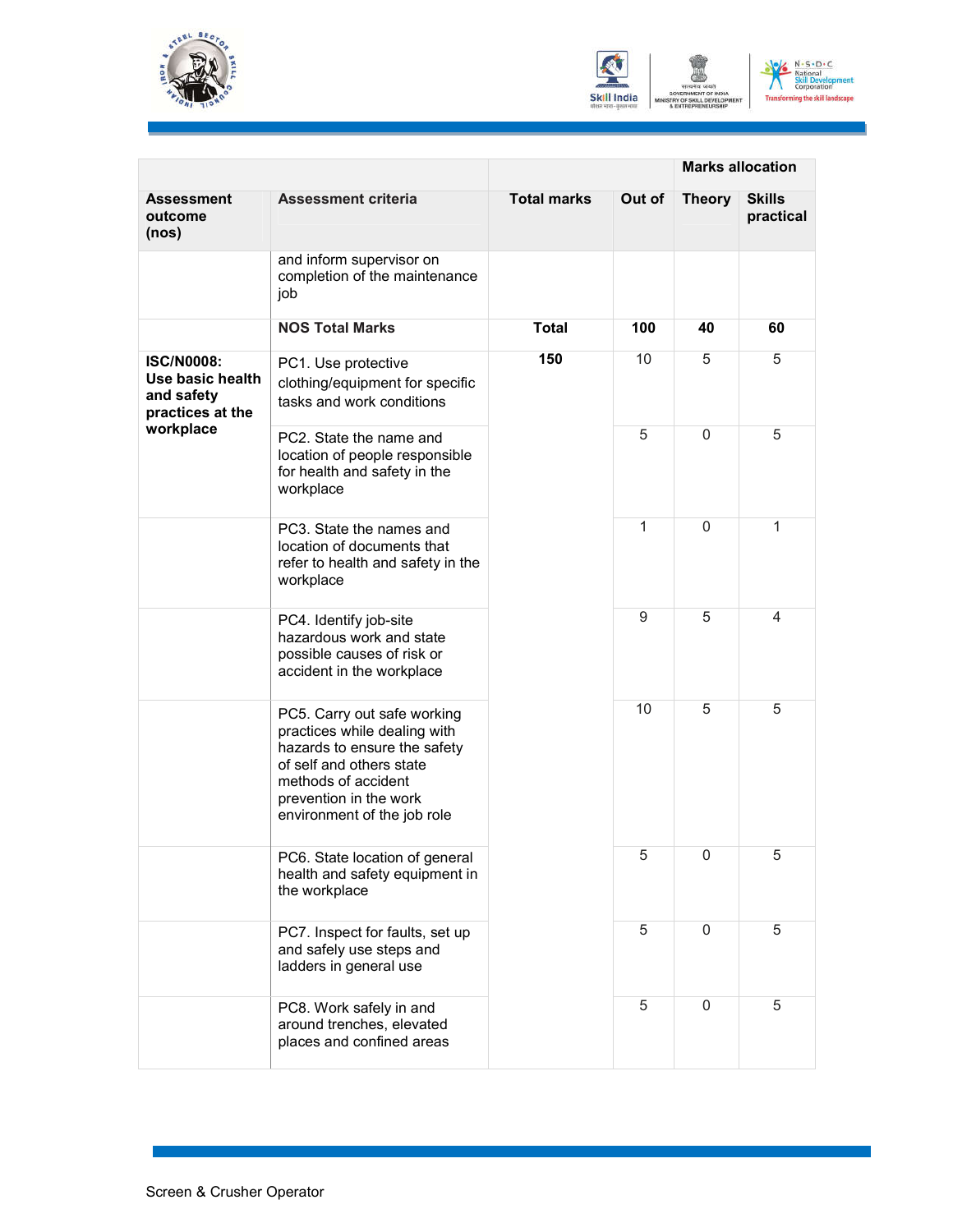





|                                                                         |                                                                                                                                                                                                         | <b>Marks allocation</b>          |        |               |                            |
|-------------------------------------------------------------------------|---------------------------------------------------------------------------------------------------------------------------------------------------------------------------------------------------------|----------------------------------|--------|---------------|----------------------------|
| Assessment<br>outcome<br>(nos)                                          | <b>Assessment criteria</b>                                                                                                                                                                              | <b>Total marks</b>               | Out of | <b>Theory</b> | <b>Skills</b><br>practical |
|                                                                         | and inform supervisor on<br>completion of the maintenance<br>job                                                                                                                                        |                                  |        |               |                            |
|                                                                         | <b>NOS Total Marks</b>                                                                                                                                                                                  | <b>Total</b>                     | 100    | 40            | 60                         |
| <b>ISC/N0008:</b><br>Use basic health<br>and safety<br>practices at the | PC1. Use protective<br>clothing/equipment for specific<br>tasks and work conditions                                                                                                                     | 150                              | 10     | 5             | 5                          |
| workplace                                                               | PC2. State the name and<br>location of people responsible<br>for health and safety in the<br>workplace                                                                                                  | 5<br>1<br>9<br>10<br>5<br>5<br>5 |        | 0             | 5                          |
|                                                                         | PC3. State the names and<br>location of documents that<br>refer to health and safety in the<br>workplace                                                                                                |                                  |        | $\Omega$      | 1                          |
|                                                                         | PC4. Identify job-site<br>hazardous work and state<br>possible causes of risk or<br>accident in the workplace                                                                                           |                                  |        | 5             | 4                          |
|                                                                         | PC5. Carry out safe working<br>practices while dealing with<br>hazards to ensure the safety<br>of self and others state<br>methods of accident<br>prevention in the work<br>environment of the job role |                                  |        | 5             | 5                          |
|                                                                         | PC6. State location of general<br>health and safety equipment in<br>the workplace                                                                                                                       |                                  |        | 0             | 5                          |
|                                                                         | PC7. Inspect for faults, set up<br>and safely use steps and<br>ladders in general use                                                                                                                   |                                  |        | 0             | 5                          |
|                                                                         | PC8. Work safely in and<br>around trenches, elevated<br>places and confined areas                                                                                                                       |                                  |        | $\mathbf 0$   | 5                          |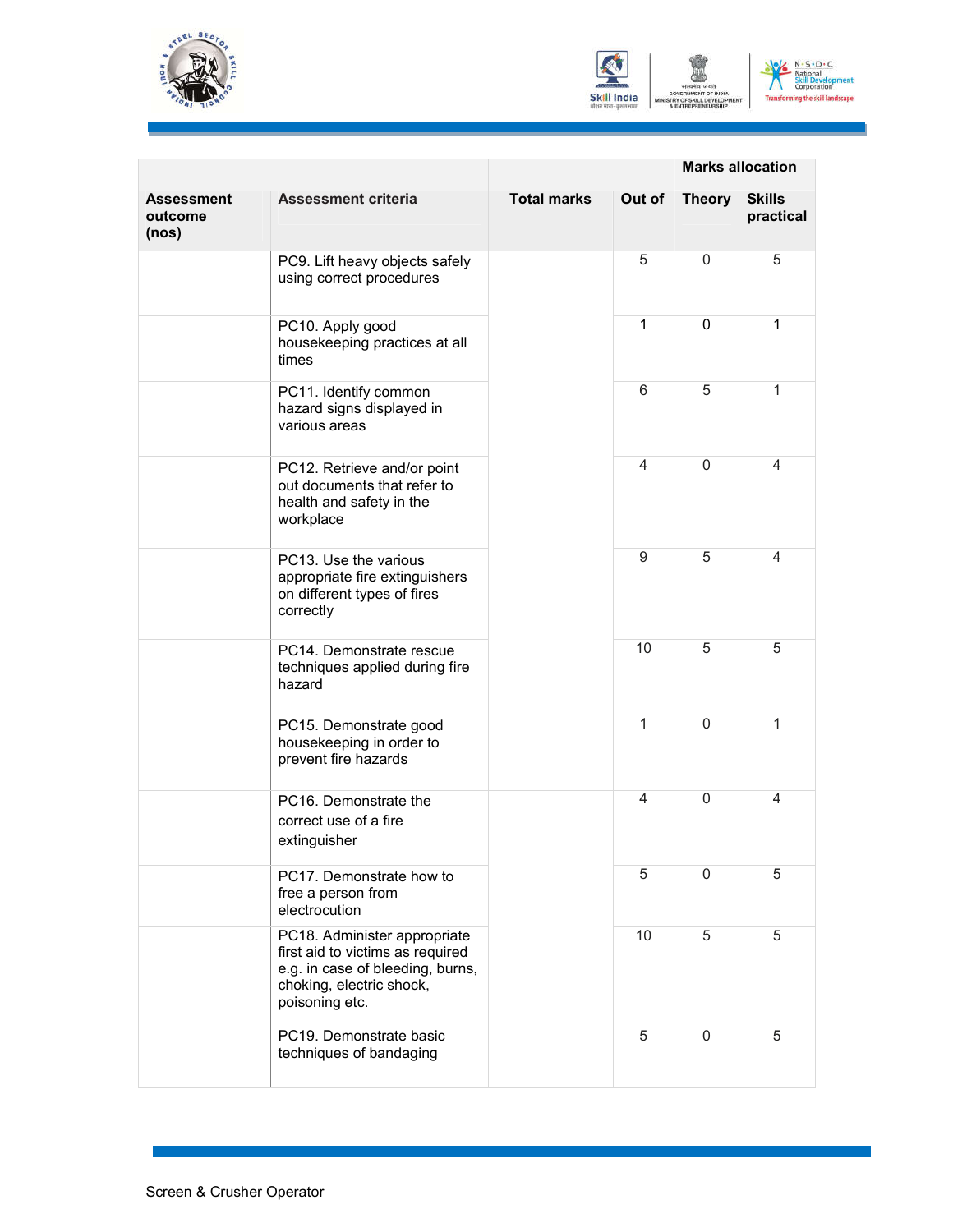





|                                |                                                                                                                                                    |                    | <b>Marks allocation</b> |               |                            |
|--------------------------------|----------------------------------------------------------------------------------------------------------------------------------------------------|--------------------|-------------------------|---------------|----------------------------|
| Assessment<br>outcome<br>(nos) | <b>Assessment criteria</b>                                                                                                                         | <b>Total marks</b> | Out of                  | <b>Theory</b> | <b>Skills</b><br>practical |
|                                | PC9. Lift heavy objects safely<br>using correct procedures                                                                                         |                    | 5                       | $\mathbf 0$   | 5                          |
|                                | PC10. Apply good<br>housekeeping practices at all<br>times                                                                                         |                    | 1                       | 0             | $\mathbf{1}$               |
|                                | PC11. Identify common<br>hazard signs displayed in<br>various areas                                                                                |                    | 6                       | 5             | $\mathbf{1}$               |
|                                | PC12. Retrieve and/or point<br>out documents that refer to<br>health and safety in the<br>workplace                                                |                    | 4                       | $\mathbf{0}$  | 4                          |
|                                | PC13. Use the various<br>appropriate fire extinguishers<br>on different types of fires<br>correctly                                                |                    | 9                       | 5             | 4                          |
|                                | PC14. Demonstrate rescue<br>techniques applied during fire<br>hazard                                                                               |                    | 10                      | 5             | 5                          |
|                                | PC15. Demonstrate good<br>housekeeping in order to<br>prevent fire hazards                                                                         |                    | 1                       | $\Omega$      | 1                          |
|                                | PC16. Demonstrate the<br>correct use of a fire<br>extinguisher                                                                                     |                    | 4                       | $\mathbf{0}$  | 4                          |
|                                | PC17. Demonstrate how to<br>free a person from<br>electrocution                                                                                    |                    | 5                       | 0             | 5                          |
|                                | PC18. Administer appropriate<br>first aid to victims as required<br>e.g. in case of bleeding, burns,<br>choking, electric shock,<br>poisoning etc. |                    | 10                      | 5             | 5                          |
|                                | PC19. Demonstrate basic<br>techniques of bandaging                                                                                                 |                    | 5                       | $\Omega$      | 5                          |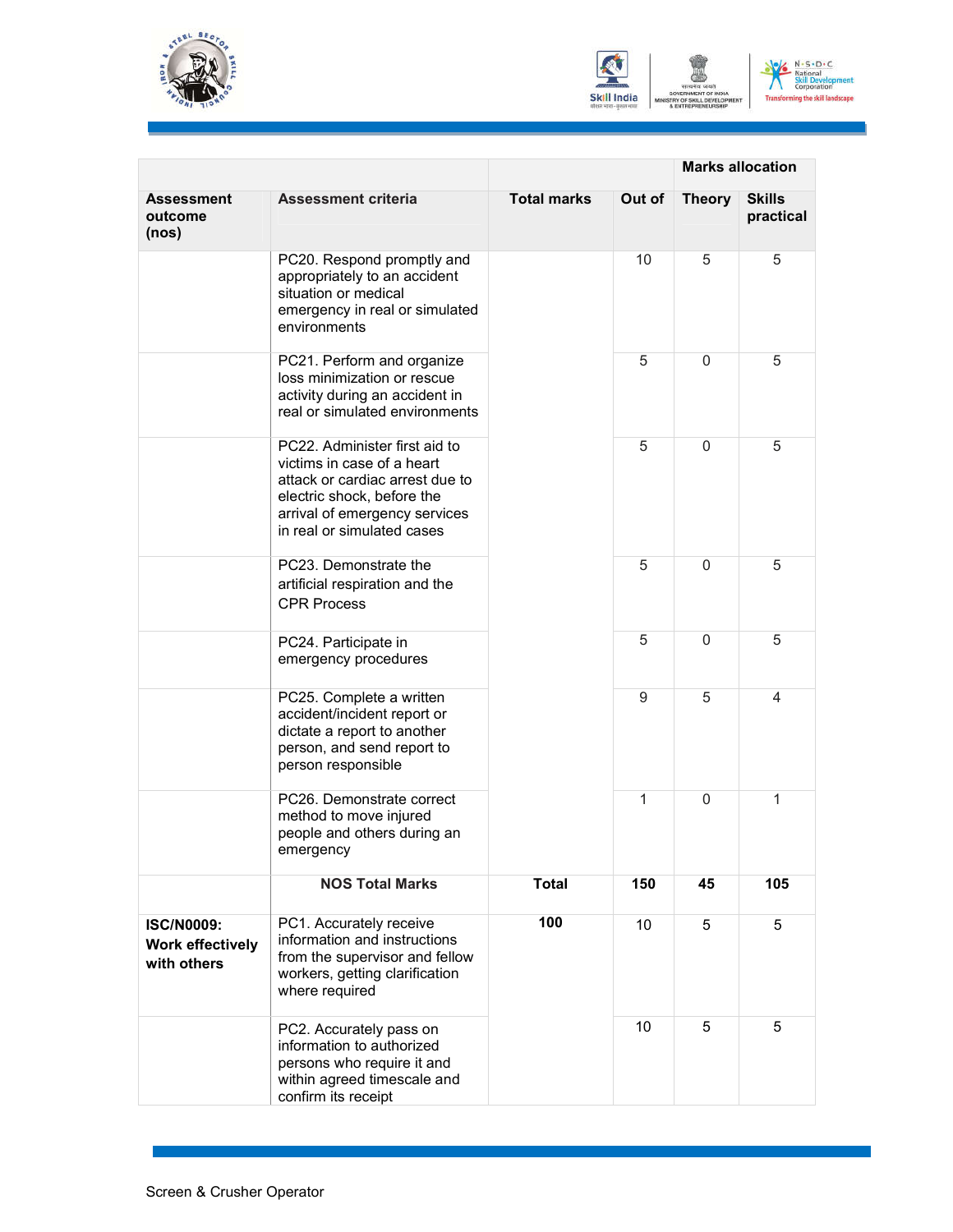





|                                                             |                                                                                                                                                                                             |                    | <b>Marks allocation</b> |               |                            |
|-------------------------------------------------------------|---------------------------------------------------------------------------------------------------------------------------------------------------------------------------------------------|--------------------|-------------------------|---------------|----------------------------|
| Assessment<br>outcome<br>(nos)                              | <b>Assessment criteria</b>                                                                                                                                                                  | <b>Total marks</b> | Out of                  | <b>Theory</b> | <b>Skills</b><br>practical |
|                                                             | PC20. Respond promptly and<br>appropriately to an accident<br>situation or medical<br>emergency in real or simulated<br>environments                                                        |                    | 10                      | 5             | 5                          |
|                                                             | PC21. Perform and organize<br>loss minimization or rescue<br>activity during an accident in<br>real or simulated environments                                                               |                    | 5                       | 0             | 5                          |
|                                                             | PC22. Administer first aid to<br>victims in case of a heart<br>attack or cardiac arrest due to<br>electric shock, before the<br>arrival of emergency services<br>in real or simulated cases |                    | 5                       | $\mathbf{0}$  | 5                          |
|                                                             | PC23. Demonstrate the<br>artificial respiration and the<br><b>CPR Process</b>                                                                                                               |                    | 5                       | 0             | 5                          |
|                                                             | PC24. Participate in<br>emergency procedures                                                                                                                                                |                    | 5                       | 0             | 5                          |
|                                                             | PC25. Complete a written<br>accident/incident report or<br>dictate a report to another<br>person, and send report to<br>person responsible                                                  |                    | 9                       | 5             | 4                          |
|                                                             | PC26. Demonstrate correct<br>method to move injured<br>people and others during an<br>emergency                                                                                             |                    | 1                       | $\Omega$      | 1                          |
|                                                             | <b>NOS Total Marks</b>                                                                                                                                                                      | <b>Total</b>       | 150                     | 45            | 105                        |
| <b>ISC/N0009:</b><br><b>Work effectively</b><br>with others | PC1. Accurately receive<br>information and instructions<br>from the supervisor and fellow<br>workers, getting clarification<br>where required                                               | 100                | 10                      | 5             | 5                          |
|                                                             | PC2. Accurately pass on<br>information to authorized<br>persons who require it and<br>within agreed timescale and<br>confirm its receipt                                                    |                    | 10                      | 5             | 5                          |